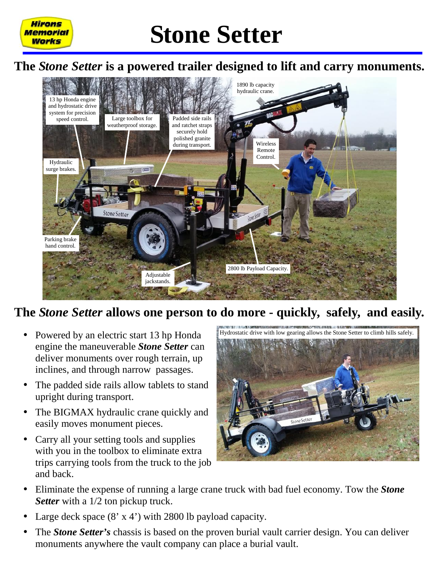

Hirons Memorial Works

# **Stone Setter**

#### **The** *Stone Setter* **is a powered trailer designed to lift and carry monuments.**



#### **The** *Stone Setter* **allows one person to do more - quickly, safely, and easily.**

- Powered by an electric start 13 hp Honda engine the maneuverable *Stone Setter* can deliver monuments over rough terrain, up inclines, and through narrow passages.
- The padded side rails allow tablets to stand upright during transport.
- The BIGMAX hydraulic crane quickly and easily moves monument pieces.
- Carry all your setting tools and supplies with you in the toolbox to eliminate extra trips carrying tools from the truck to the job and back.



- Eliminate the expense of running a large crane truck with bad fuel economy. Tow the *Stone Setter* with a 1/2 ton pickup truck.
- Large deck space  $(8 \times 4')$  with 2800 lb payload capacity.
- The *Stone Setter's* chassis is based on the proven burial vault carrier design. You can deliver monuments anywhere the vault company can place a burial vault.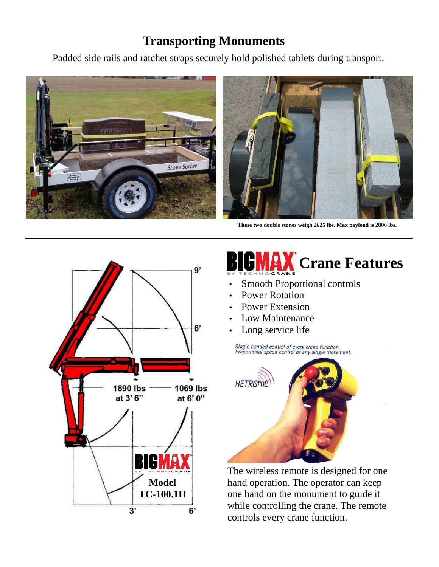### **Transporting Monuments**

Padded side rails and ratchet straps securely hold polished tablets during transport.





**These two double stones weigh 2625 lbs. Max payload is 2800 lbs.**



# **RAX** Crane Features

- Smooth Proportional controls
- Power Rotation
- Power Extension
- Low Maintenance
- Long service life

Single-handed control of every crane function.<br>Proportional speed control of any single movement.



The wireless remote is designed for one hand operation. The operator can keep one hand on the monument to guide it while controlling the crane. The remote controls every crane function.